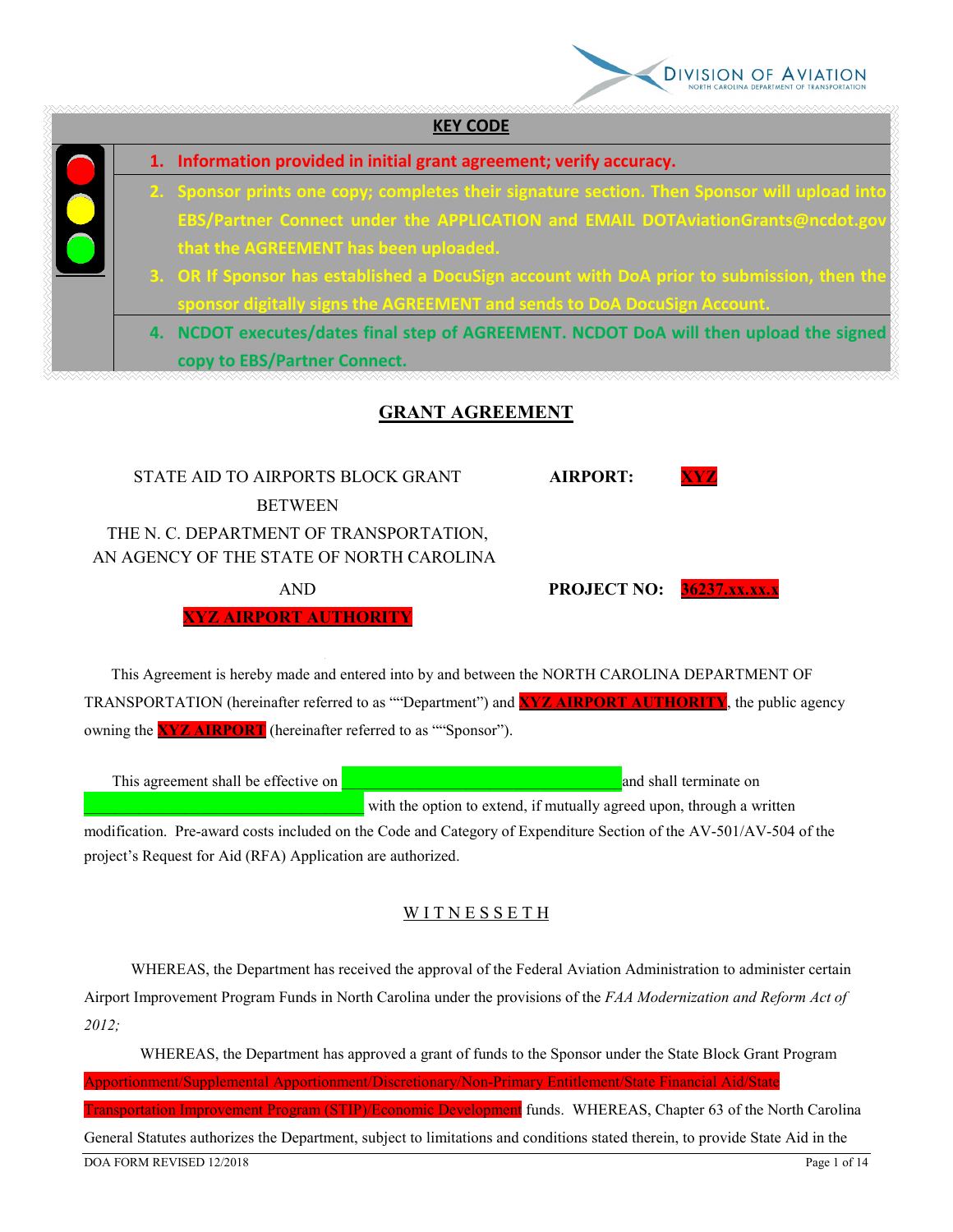

| 1. Information provided in initial grant agreement; verify accuracy.                                                                                                                                                     |
|--------------------------------------------------------------------------------------------------------------------------------------------------------------------------------------------------------------------------|
| 2. Sponsor prints one copy; completes their signature section. Then Sponsor will upload into<br>EBS/Partner Connect under the APPLICATION and EMAIL DOTAviationGrants@ncdot.gov<br>that the AGREEMENT has been uploaded. |
| 3. OR If Sponsor has established a DocuSign account with DoA prior to submission, then the<br>sponsor digitally signs the AGREEMENT and sends to DoA DocuSign Account.                                                   |
| 4. NCDOT executes/dates final step of AGREEMENT. NCDOT DoA will then upload the signed<br>copy to EBS/Partner Connect.                                                                                                   |

STATE AID TO AIRPORTS BLOCK GRANT **AIRPORT: BETWEEN** THE N. C. DEPARTMENT OF TRANSPORTATION, AN AGENCY OF THE STATE OF NORTH CAROLINA

**XYZ AIRPORT AUTHORITY**

**AND PROJECT NO: 36237.xx.xx.** 

 This Agreement is hereby made and entered into by and between the NORTH CAROLINA DEPARTMENT OF TRANSPORTATION (hereinafter referred to as ""Department") and **XYZ AIRPORT AUTHORITY**, the public agency owning the **XYZ AIRPORT** (hereinafter referred to as ""Sponsor").

This agreement shall be effective on **Exercise 2018** and shall terminate on **a**nd shall terminate on with the option to extend, if mutually agreed upon, through a written modification. Pre-award costs included on the Code and Category of Expenditure Section of the AV-501/AV-504 of the

project's Request for Aid (RFA) Application are authorized.

# WITNESSETH

 WHEREAS, the Department has received the approval of the Federal Aviation Administration to administer certain Airport Improvement Program Funds in North Carolina under the provisions of the *FAA Modernization and Reform Act of 2012;* 

DOA FORM REVISED 12/2018 Page 1 of 14 WHEREAS, the Department has approved a grant of funds to the Sponsor under the State Block Grant Program Apportionment/Supplemental Apportionment/Discretionary/Non-Primary Entitlement/State Financial Aid/State Transportation Improvement Program (STIP)/Economic Development funds. WHEREAS, Chapter 63 of the North Carolina General Statutes authorizes the Department, subject to limitations and conditions stated therein, to provide State Aid in the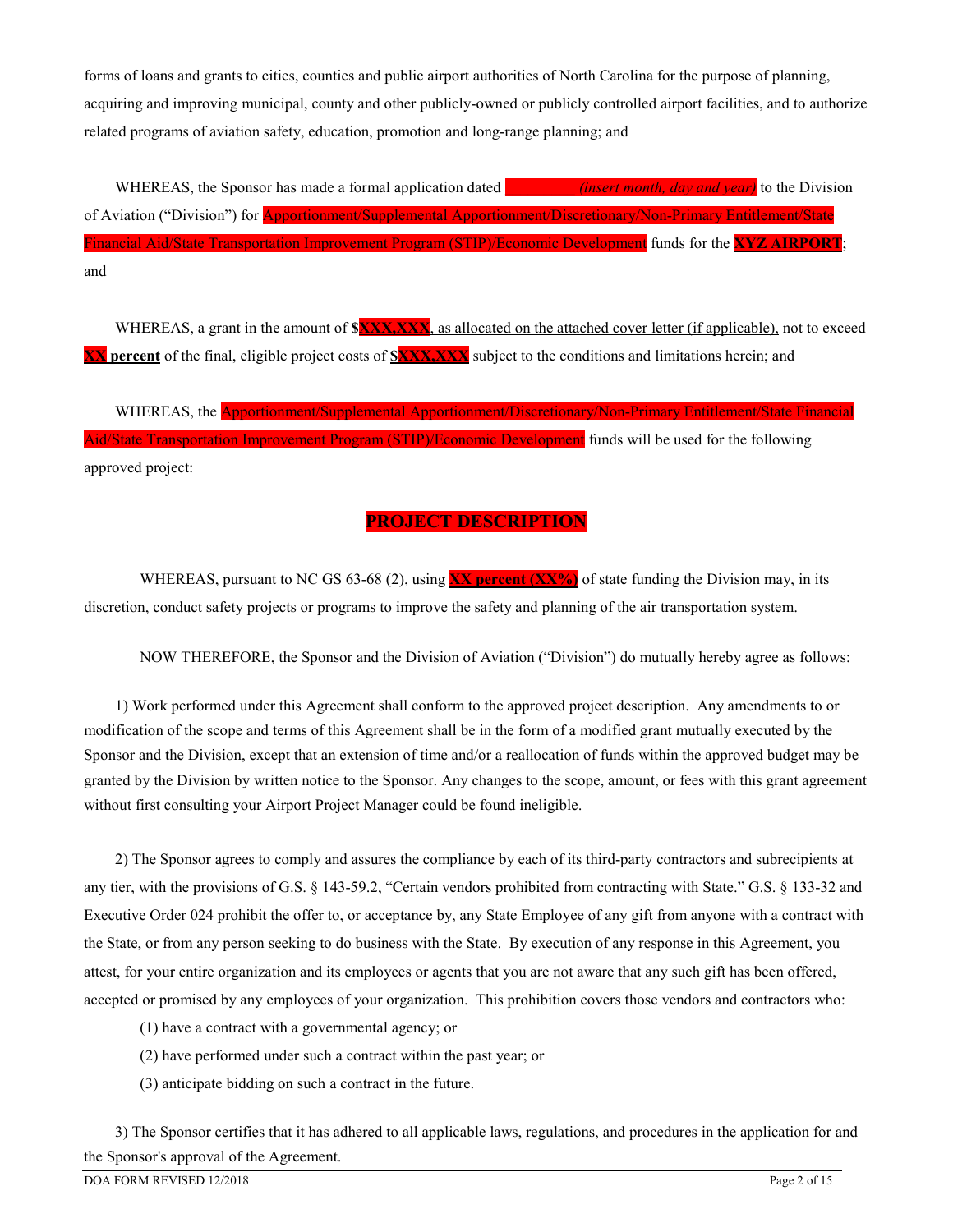forms of loans and grants to cities, counties and public airport authorities of North Carolina for the purpose of planning, acquiring and improving municipal, county and other publicly-owned or publicly controlled airport facilities, and to authorize related programs of aviation safety, education, promotion and long-range planning; and

 WHEREAS, the Sponsor has made a formal application dated **\_\_\_\_\_\_\_\_\_** *(insert month, day and year)* to the Division of Aviation ("Division") for Apportionment/Supplemental Apportionment/Discretionary/Non-Primary Entitlement/State Financial Aid/State Transportation Improvement Program (STIP)/Economic Development funds for the **XYZ AIRPORT**; and

WHEREAS, a grant in the amount of **\$XXX,XXX**, as allocated on the attached cover letter (if applicable), not to exceed **XX percent** of the final, eligible project costs of **\$XXX,XXX** subject to the conditions and limitations herein; and

WHEREAS, the **Apportionment/Supplemental Apportionment/Discretionary/Non-Primary Entitlement/State Financia** Aid/State Transportation Improvement Program (STIP)/Economic Development funds will be used for the following approved project:

# **PROJECT DESCRIPTION**

WHEREAS, pursuant to NC GS 63-68 (2), using **XX** percent (XX%) of state funding the Division may, in its discretion, conduct safety projects or programs to improve the safety and planning of the air transportation system.

NOW THEREFORE, the Sponsor and the Division of Aviation ("Division") do mutually hereby agree as follows:

 1) Work performed under this Agreement shall conform to the approved project description. Any amendments to or modification of the scope and terms of this Agreement shall be in the form of a modified grant mutually executed by the Sponsor and the Division, except that an extension of time and/or a reallocation of funds within the approved budget may be granted by the Division by written notice to the Sponsor. Any changes to the scope, amount, or fees with this grant agreement without first consulting your Airport Project Manager could be found ineligible.

 2) The Sponsor agrees to comply and assures the compliance by each of its third-party contractors and subrecipients at any tier, with the provisions of G.S. § 143-59.2, "Certain vendors prohibited from contracting with State." G.S. § 133-32 and Executive Order 024 prohibit the offer to, or acceptance by, any State Employee of any gift from anyone with a contract with the State, or from any person seeking to do business with the State. By execution of any response in this Agreement, you attest, for your entire organization and its employees or agents that you are not aware that any such gift has been offered, accepted or promised by any employees of your organization. This prohibition covers those vendors and contractors who:

- (1) have a contract with a governmental agency; or
- (2) have performed under such a contract within the past year; or
- (3) anticipate bidding on such a contract in the future.

 3) The Sponsor certifies that it has adhered to all applicable laws, regulations, and procedures in the application for and the Sponsor's approval of the Agreement.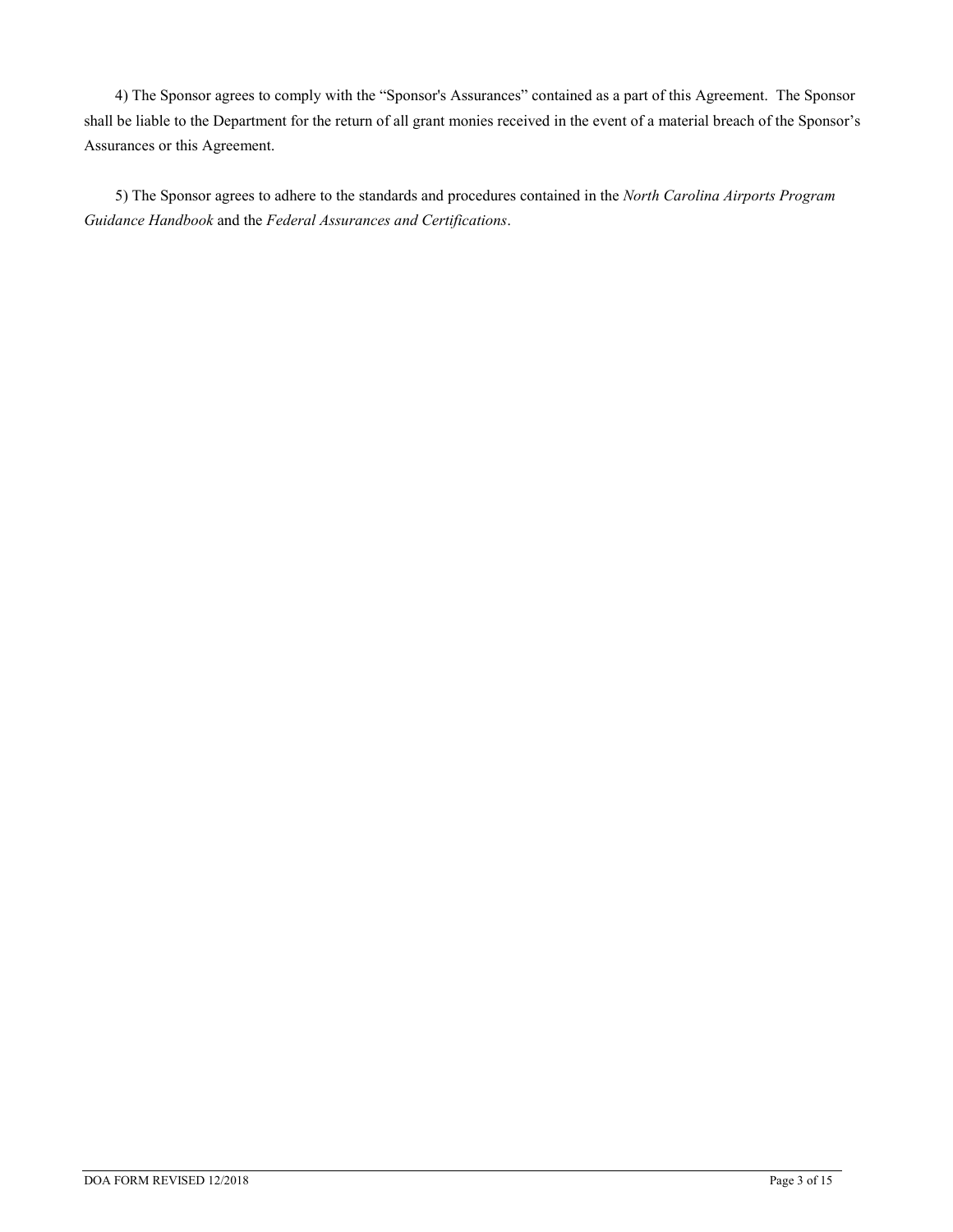4) The Sponsor agrees to comply with the "Sponsor's Assurances" contained as a part of this Agreement. The Sponsor shall be liable to the Department for the return of all grant monies received in the event of a material breach of the Sponsor's Assurances or this Agreement.

 5) The Sponsor agrees to adhere to the standards and procedures contained in the *North Carolina Airports Program Guidance Handbook* and the *Federal Assurances and Certifications*.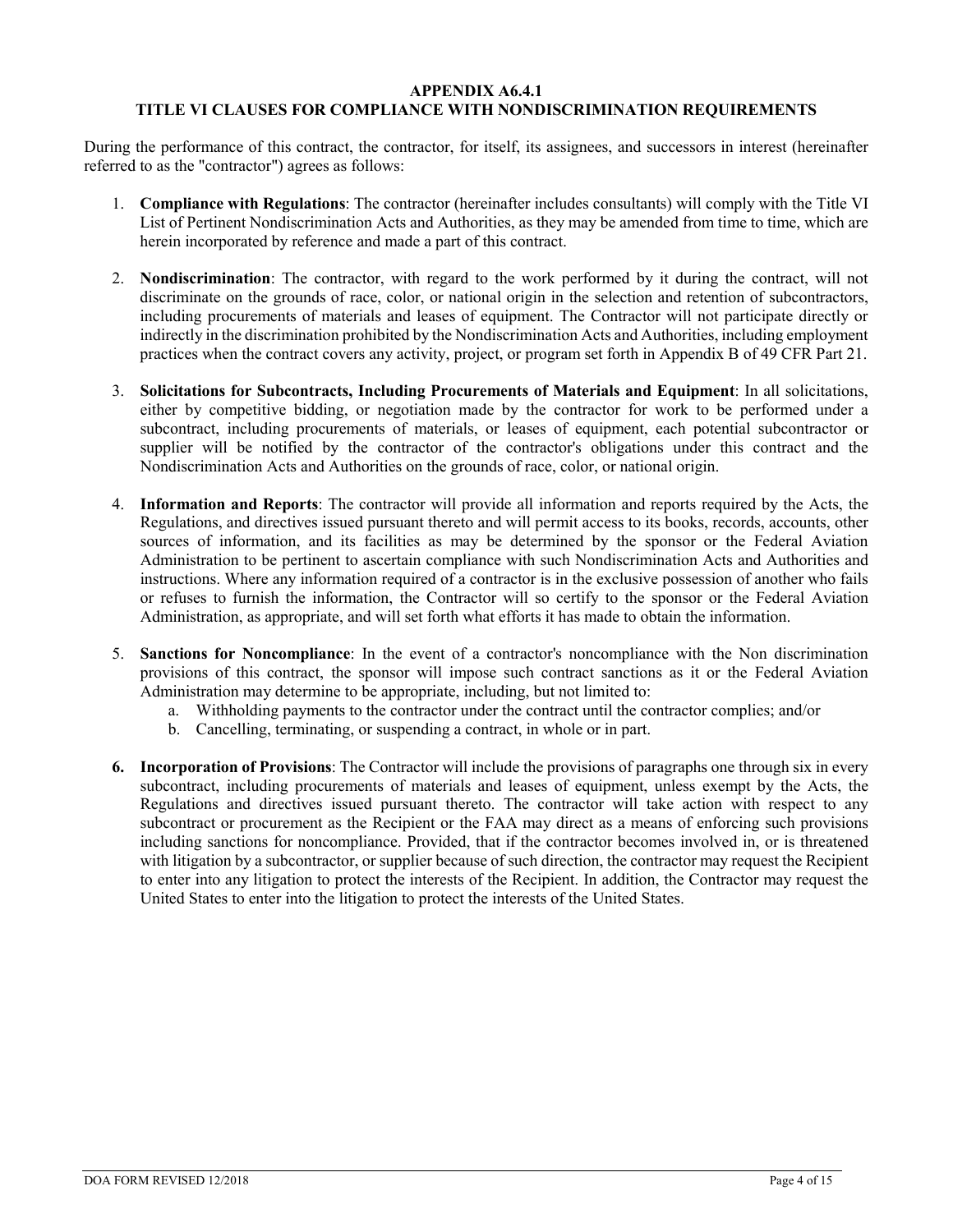### **APPENDIX A6.4.1 TITLE VI CLAUSES FOR COMPLIANCE WITH NONDISCRIMINATION REQUIREMENTS**

During the performance of this contract, the contractor, for itself, its assignees, and successors in interest (hereinafter referred to as the "contractor") agrees as follows:

- 1. **Compliance with Regulations**: The contractor (hereinafter includes consultants) will comply with the Title VI List of Pertinent Nondiscrimination Acts and Authorities, as they may be amended from time to time, which are herein incorporated by reference and made a part of this contract.
- 2. **Nondiscrimination**: The contractor, with regard to the work performed by it during the contract, will not discriminate on the grounds of race, color, or national origin in the selection and retention of subcontractors, including procurements of materials and leases of equipment. The Contractor will not participate directly or indirectly in the discrimination prohibited by the Nondiscrimination Acts and Authorities, including employment practices when the contract covers any activity, project, or program set forth in Appendix B of 49 CFR Part 21.
- 3. **Solicitations for Subcontracts, Including Procurements of Materials and Equipment**: In all solicitations, either by competitive bidding, or negotiation made by the contractor for work to be performed under a subcontract, including procurements of materials, or leases of equipment, each potential subcontractor or supplier will be notified by the contractor of the contractor's obligations under this contract and the Nondiscrimination Acts and Authorities on the grounds of race, color, or national origin.
- 4. **Information and Reports**: The contractor will provide all information and reports required by the Acts, the Regulations, and directives issued pursuant thereto and will permit access to its books, records, accounts, other sources of information, and its facilities as may be determined by the sponsor or the Federal Aviation Administration to be pertinent to ascertain compliance with such Nondiscrimination Acts and Authorities and instructions. Where any information required of a contractor is in the exclusive possession of another who fails or refuses to furnish the information, the Contractor will so certify to the sponsor or the Federal Aviation Administration, as appropriate, and will set forth what efforts it has made to obtain the information.
- 5. **Sanctions for Noncompliance**: In the event of a contractor's noncompliance with the Non discrimination provisions of this contract, the sponsor will impose such contract sanctions as it or the Federal Aviation Administration may determine to be appropriate, including, but not limited to:
	- a. Withholding payments to the contractor under the contract until the contractor complies; and/or
	- b. Cancelling, terminating, or suspending a contract, in whole or in part.
- **6. Incorporation of Provisions**: The Contractor will include the provisions of paragraphs one through six in every subcontract, including procurements of materials and leases of equipment, unless exempt by the Acts, the Regulations and directives issued pursuant thereto. The contractor will take action with respect to any subcontract or procurement as the Recipient or the FAA may direct as a means of enforcing such provisions including sanctions for noncompliance. Provided, that if the contractor becomes involved in, or is threatened with litigation by a subcontractor, or supplier because of such direction, the contractor may request the Recipient to enter into any litigation to protect the interests of the Recipient. In addition, the Contractor may request the United States to enter into the litigation to protect the interests of the United States.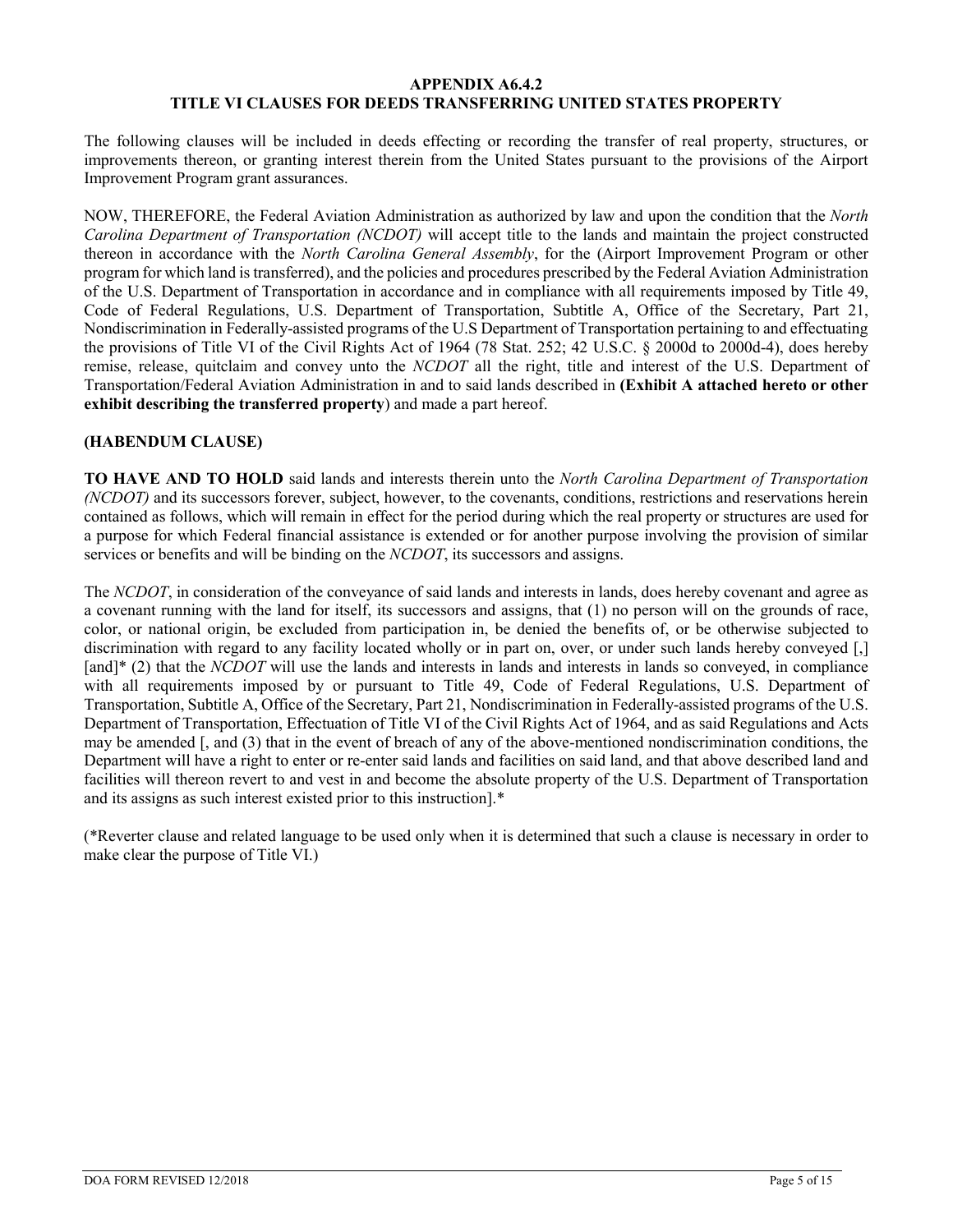#### **APPENDIX A6.4.2 TITLE VI CLAUSES FOR DEEDS TRANSFERRING UNITED STATES PROPERTY**

The following clauses will be included in deeds effecting or recording the transfer of real property, structures, or improvements thereon, or granting interest therein from the United States pursuant to the provisions of the Airport Improvement Program grant assurances.

NOW, THEREFORE, the Federal Aviation Administration as authorized by law and upon the condition that the *North Carolina Department of Transportation (NCDOT)* will accept title to the lands and maintain the project constructed thereon in accordance with the *North Carolina General Assembly*, for the (Airport Improvement Program or other program for which land is transferred), and the policies and procedures prescribed by the Federal Aviation Administration of the U.S. Department of Transportation in accordance and in compliance with all requirements imposed by Title 49, Code of Federal Regulations, U.S. Department of Transportation, Subtitle A, Office of the Secretary, Part 21, Nondiscrimination in Federally-assisted programs of the U.S Department of Transportation pertaining to and effectuating the provisions of Title VI of the Civil Rights Act of 1964 (78 Stat. 252; 42 U.S.C. § 2000d to 2000d-4), does hereby remise, release, quitclaim and convey unto the *NCDOT* all the right, title and interest of the U.S. Department of Transportation/Federal Aviation Administration in and to said lands described in **(Exhibit A attached hereto or other exhibit describing the transferred property**) and made a part hereof.

# **(HABENDUM CLAUSE)**

**TO HAVE AND TO HOLD** said lands and interests therein unto the *North Carolina Department of Transportation (NCDOT)* and its successors forever, subject, however, to the covenants, conditions, restrictions and reservations herein contained as follows, which will remain in effect for the period during which the real property or structures are used for a purpose for which Federal financial assistance is extended or for another purpose involving the provision of similar services or benefits and will be binding on the *NCDOT*, its successors and assigns.

The *NCDOT*, in consideration of the conveyance of said lands and interests in lands, does hereby covenant and agree as a covenant running with the land for itself, its successors and assigns, that (1) no person will on the grounds of race, color, or national origin, be excluded from participation in, be denied the benefits of, or be otherwise subjected to discrimination with regard to any facility located wholly or in part on, over, or under such lands hereby conveyed [,] [and]<sup>\*</sup> (2) that the *NCDOT* will use the lands and interests in lands and interests in lands so conveyed, in compliance with all requirements imposed by or pursuant to Title 49, Code of Federal Regulations, U.S. Department of Transportation, Subtitle A, Office of the Secretary, Part 21, Nondiscrimination in Federally-assisted programs of the U.S. Department of Transportation, Effectuation of Title VI of the Civil Rights Act of 1964, and as said Regulations and Acts may be amended [, and (3) that in the event of breach of any of the above-mentioned nondiscrimination conditions, the Department will have a right to enter or re-enter said lands and facilities on said land, and that above described land and facilities will thereon revert to and vest in and become the absolute property of the U.S. Department of Transportation and its assigns as such interest existed prior to this instruction].\*

(\*Reverter clause and related language to be used only when it is determined that such a clause is necessary in order to make clear the purpose of Title VI.)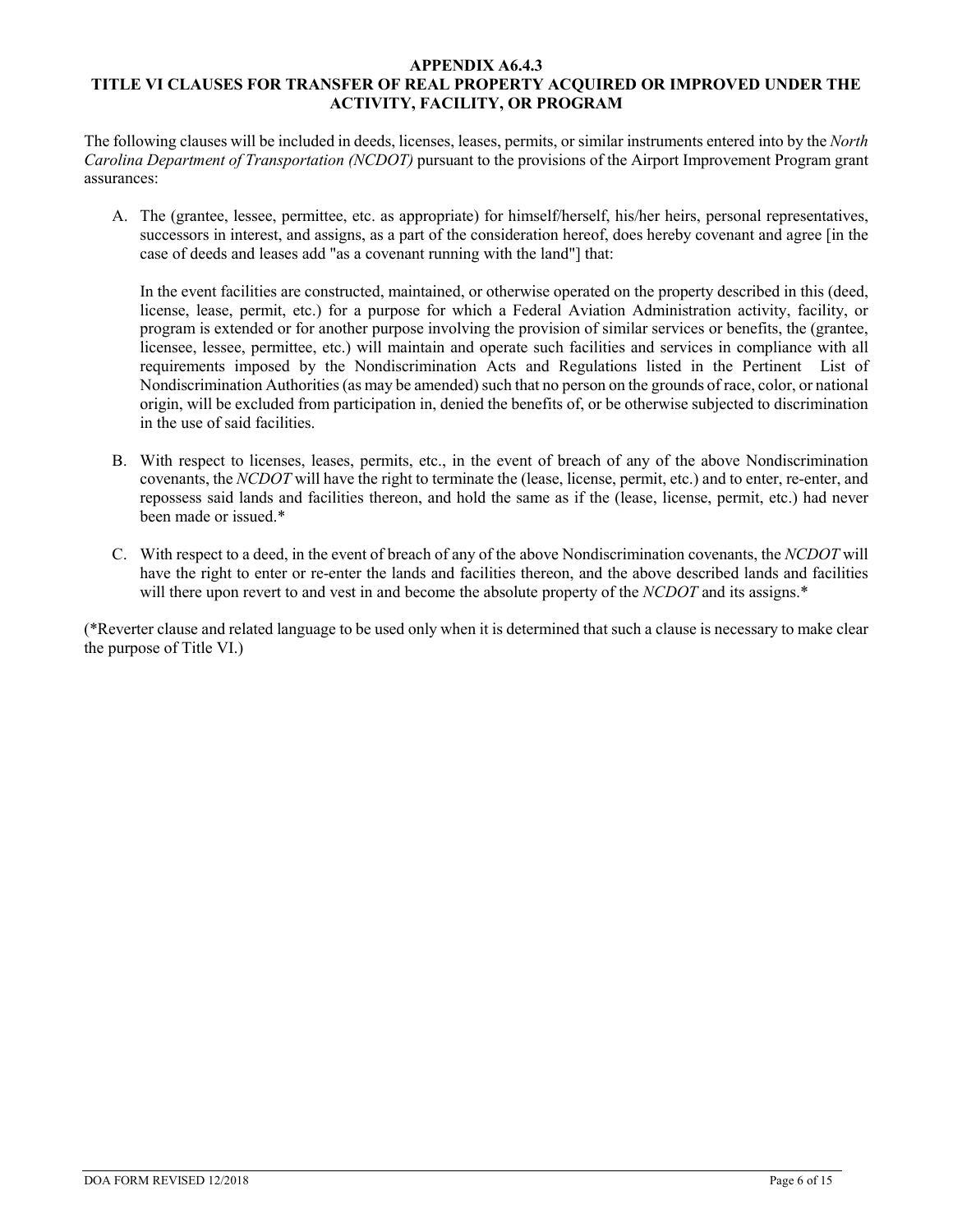### **APPENDIX A6.4.3 TITLE VI CLAUSES FOR TRANSFER OF REAL PROPERTY ACQUIRED OR IMPROVED UNDER THE ACTIVITY, FACILITY, OR PROGRAM**

The following clauses will be included in deeds, licenses, leases, permits, or similar instruments entered into by the *North Carolina Department of Transportation (NCDOT)* pursuant to the provisions of the Airport Improvement Program grant assurances:

A. The (grantee, lessee, permittee, etc. as appropriate) for himself/herself, his/her heirs, personal representatives, successors in interest, and assigns, as a part of the consideration hereof, does hereby covenant and agree [in the case of deeds and leases add "as a covenant running with the land"] that:

In the event facilities are constructed, maintained, or otherwise operated on the property described in this (deed, license, lease, permit, etc.) for a purpose for which a Federal Aviation Administration activity, facility, or program is extended or for another purpose involving the provision of similar services or benefits, the (grantee, licensee, lessee, permittee, etc.) will maintain and operate such facilities and services in compliance with all requirements imposed by the Nondiscrimination Acts and Regulations listed in the Pertinent List of Nondiscrimination Authorities (as may be amended) such that no person on the grounds of race, color, or national origin, will be excluded from participation in, denied the benefits of, or be otherwise subjected to discrimination in the use of said facilities.

- B. With respect to licenses, leases, permits, etc., in the event of breach of any of the above Nondiscrimination covenants, the *NCDOT* will have the right to terminate the (lease, license, permit, etc.) and to enter, re-enter, and repossess said lands and facilities thereon, and hold the same as if the (lease, license, permit, etc.) had never been made or issued.\*
- C. With respect to a deed, in the event of breach of any of the above Nondiscrimination covenants, the *NCDOT* will have the right to enter or re-enter the lands and facilities thereon, and the above described lands and facilities will there upon revert to and vest in and become the absolute property of the *NCDOT* and its assigns.<sup>\*</sup>

(\*Reverter clause and related language to be used only when it is determined that such a clause is necessary to make clear the purpose of Title VI.)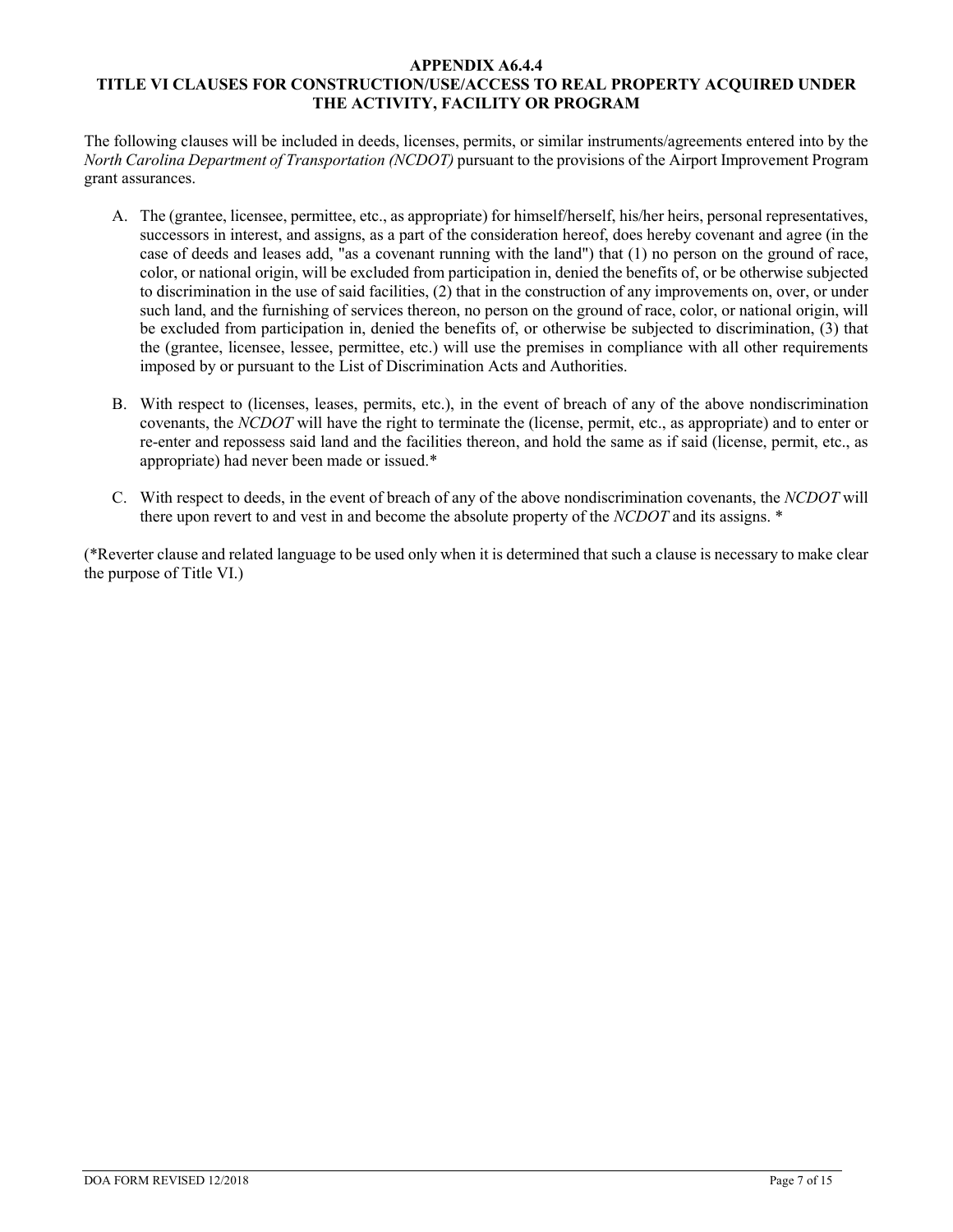### **APPENDIX A6.4.4 TITLE VI CLAUSES FOR CONSTRUCTION/USE/ACCESS TO REAL PROPERTY ACQUIRED UNDER THE ACTIVITY, FACILITY OR PROGRAM**

The following clauses will be included in deeds, licenses, permits, or similar instruments/agreements entered into by the *North Carolina Department of Transportation (NCDOT)* pursuant to the provisions of the Airport Improvement Program grant assurances.

- A. The (grantee, licensee, permittee, etc., as appropriate) for himself/herself, his/her heirs, personal representatives, successors in interest, and assigns, as a part of the consideration hereof, does hereby covenant and agree (in the case of deeds and leases add, "as a covenant running with the land") that (1) no person on the ground of race, color, or national origin, will be excluded from participation in, denied the benefits of, or be otherwise subjected to discrimination in the use of said facilities, (2) that in the construction of any improvements on, over, or under such land, and the furnishing of services thereon, no person on the ground of race, color, or national origin, will be excluded from participation in, denied the benefits of, or otherwise be subjected to discrimination, (3) that the (grantee, licensee, lessee, permittee, etc.) will use the premises in compliance with all other requirements imposed by or pursuant to the List of Discrimination Acts and Authorities.
- B. With respect to (licenses, leases, permits, etc.), in the event of breach of any of the above nondiscrimination covenants, the *NCDOT* will have the right to terminate the (license, permit, etc., as appropriate) and to enter or re-enter and repossess said land and the facilities thereon, and hold the same as if said (license, permit, etc., as appropriate) had never been made or issued.\*
- C. With respect to deeds, in the event of breach of any of the above nondiscrimination covenants, the *NCDOT* will there upon revert to and vest in and become the absolute property of the *NCDOT* and its assigns. \*

(\*Reverter clause and related language to be used only when it is determined that such a clause is necessary to make clear the purpose of Title VI.)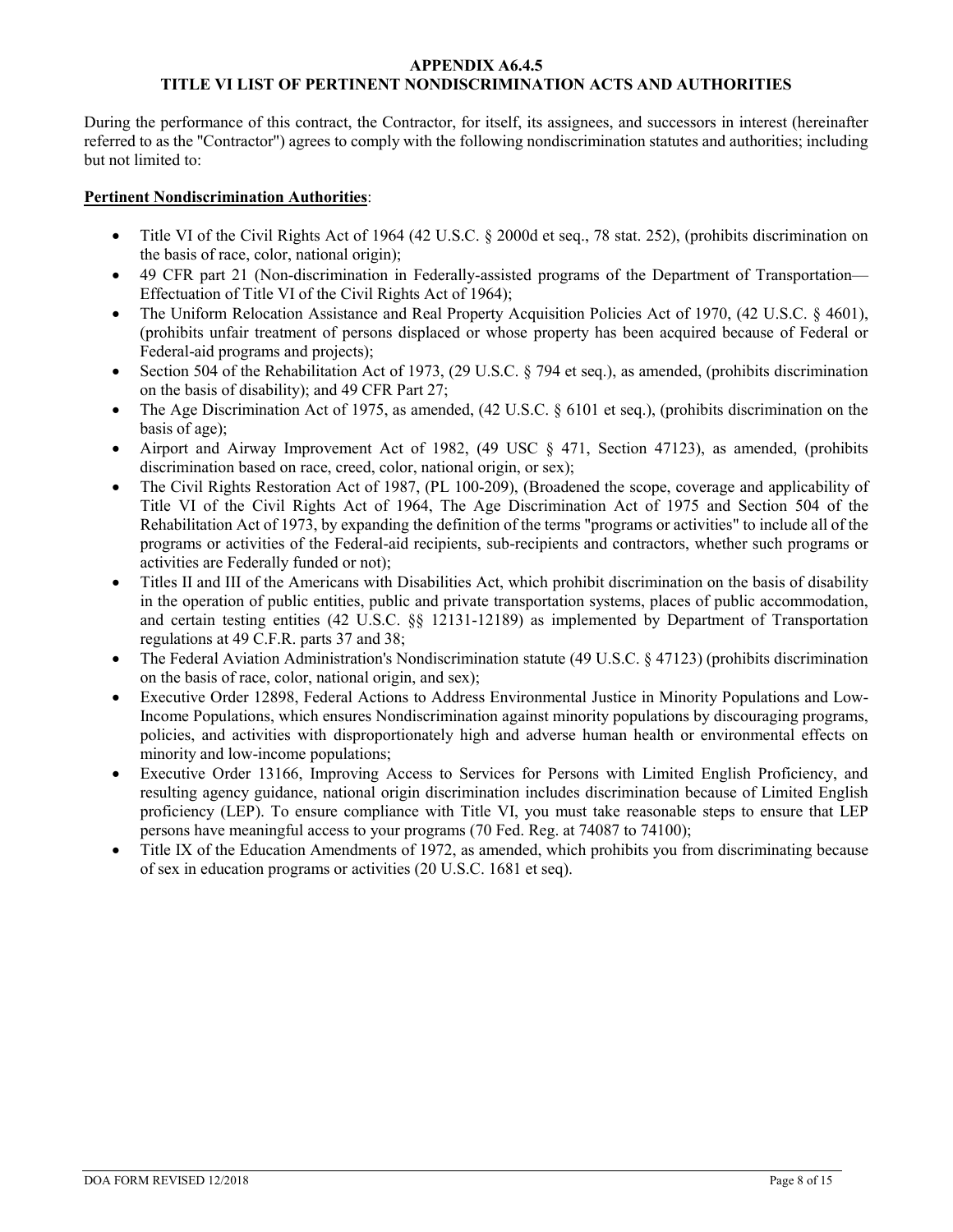### **APPENDIX A6.4.5 TITLE VI LIST OF PERTINENT NONDISCRIMINATION ACTS AND AUTHORITIES**

During the performance of this contract, the Contractor, for itself, its assignees, and successors in interest (hereinafter referred to as the "Contractor") agrees to comply with the following nondiscrimination statutes and authorities; including but not limited to:

# **Pertinent Nondiscrimination Authorities**:

- Title VI of the Civil Rights Act of 1964 (42 U.S.C. § 2000d et seq., 78 stat. 252), (prohibits discrimination on the basis of race, color, national origin);
- 49 CFR part 21 (Non-discrimination in Federally-assisted programs of the Department of Transportation— Effectuation of Title VI of the Civil Rights Act of 1964);
- The Uniform Relocation Assistance and Real Property Acquisition Policies Act of 1970, (42 U.S.C. § 4601), (prohibits unfair treatment of persons displaced or whose property has been acquired because of Federal or Federal-aid programs and projects);
- Section 504 of the Rehabilitation Act of 1973, (29 U.S.C. § 794 et seq.), as amended, (prohibits discrimination on the basis of disability); and 49 CFR Part 27;
- The Age Discrimination Act of 1975, as amended, (42 U.S.C. § 6101 et seq.), (prohibits discrimination on the basis of age);
- Airport and Airway Improvement Act of 1982, (49 USC § 471, Section 47123), as amended, (prohibits discrimination based on race, creed, color, national origin, or sex);
- The Civil Rights Restoration Act of 1987, (PL 100-209), (Broadened the scope, coverage and applicability of Title VI of the Civil Rights Act of 1964, The Age Discrimination Act of 1975 and Section 504 of the Rehabilitation Act of 1973, by expanding the definition of the terms "programs or activities" to include all of the programs or activities of the Federal-aid recipients, sub-recipients and contractors, whether such programs or activities are Federally funded or not);
- Titles II and III of the Americans with Disabilities Act, which prohibit discrimination on the basis of disability in the operation of public entities, public and private transportation systems, places of public accommodation, and certain testing entities (42 U.S.C. §§ 12131-12189) as implemented by Department of Transportation regulations at 49 C.F.R. parts 37 and 38;
- The Federal Aviation Administration's Nondiscrimination statute (49 U.S.C. § 47123) (prohibits discrimination on the basis of race, color, national origin, and sex);
- Executive Order 12898, Federal Actions to Address Environmental Justice in Minority Populations and Low-Income Populations, which ensures Nondiscrimination against minority populations by discouraging programs, policies, and activities with disproportionately high and adverse human health or environmental effects on minority and low-income populations;
- Executive Order 13166, Improving Access to Services for Persons with Limited English Proficiency, and resulting agency guidance, national origin discrimination includes discrimination because of Limited English proficiency (LEP). To ensure compliance with Title VI, you must take reasonable steps to ensure that LEP persons have meaningful access to your programs (70 Fed. Reg. at 74087 to 74100);
- Title IX of the Education Amendments of 1972, as amended, which prohibits you from discriminating because of sex in education programs or activities (20 U.S.C. 1681 et seq).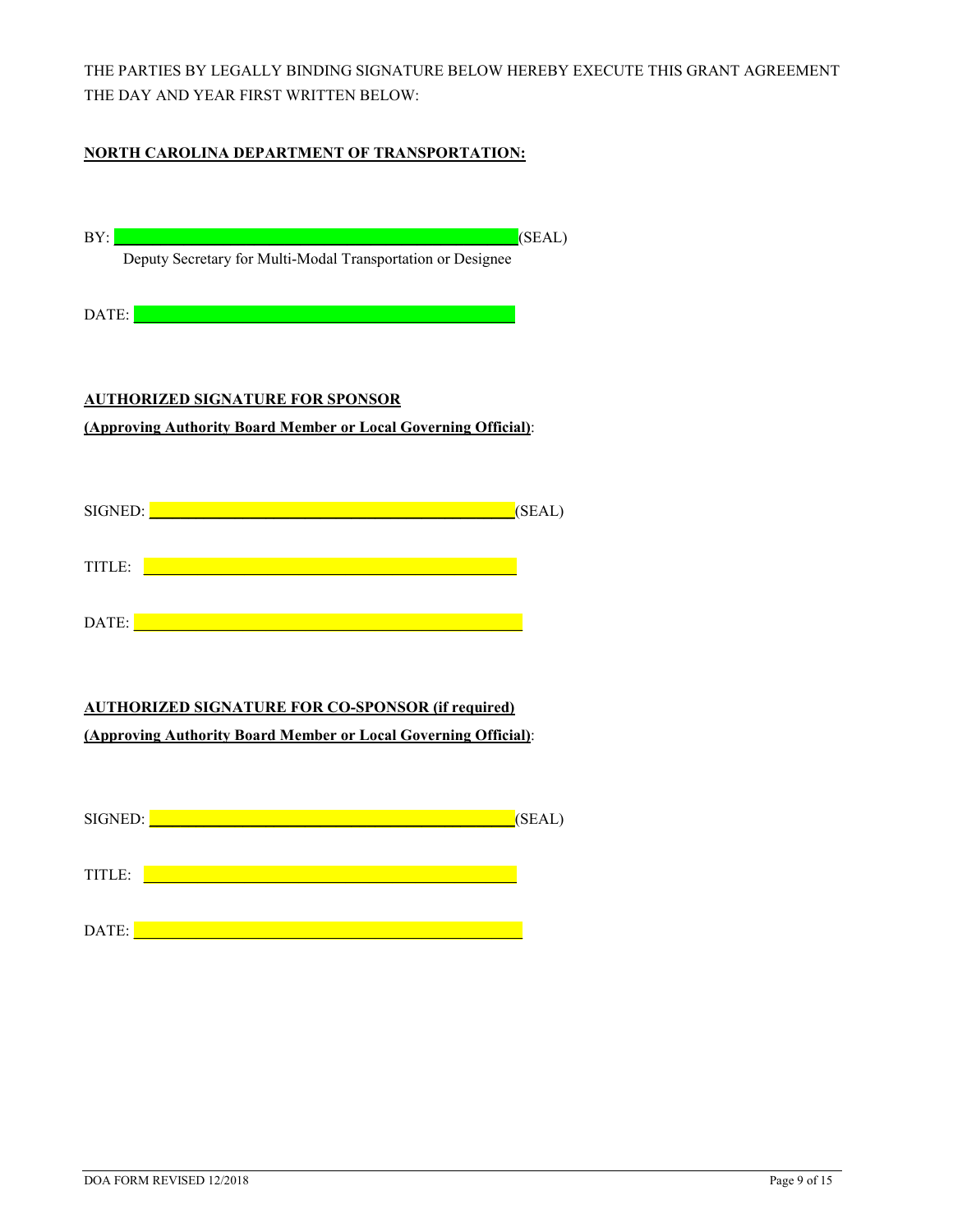THE PARTIES BY LEGALLY BINDING SIGNATURE BELOW HEREBY EXECUTE THIS GRANT AGREEMENT THE DAY AND YEAR FIRST WRITTEN BELOW:

# **NORTH CAROLINA DEPARTMENT OF TRANSPORTATION:**

| BY:<br>(SEAL)                                                                                                                                                                                                                        |
|--------------------------------------------------------------------------------------------------------------------------------------------------------------------------------------------------------------------------------------|
| Deputy Secretary for Multi-Modal Transportation or Designee                                                                                                                                                                          |
| <u> 1989 - An Dùbhlachd ann an Dùbhlachd ann an Dùbhlachd ann an Dùbhlachd ann an Dùbhlachd ann an Dùbhlachd ann </u><br>DATE:                                                                                                       |
|                                                                                                                                                                                                                                      |
|                                                                                                                                                                                                                                      |
| <b>AUTHORIZED SIGNATURE FOR SPONSOR</b>                                                                                                                                                                                              |
| (Approving Authority Board Member or Local Governing Official):                                                                                                                                                                      |
|                                                                                                                                                                                                                                      |
| SIGNED: <b>Example 2019</b> SIGNED:                                                                                                                                                                                                  |
| (SEAL)                                                                                                                                                                                                                               |
| TITLE: <u>2000 - 2000 - 2000 - 2000 - 2000 - 2000 - 2000 - 2000 - 2000 - 2000 - 2000 - 2000 - 2000 - 2000 - 2000 - 2000 - 2000 - 2000 - 2000 - 2000 - 2000 - 2000 - 2000 - 2000 - 2000 - 2000 - 2000 - 2000 - 2000 - 2000 - 2000</u> |
|                                                                                                                                                                                                                                      |
|                                                                                                                                                                                                                                      |
|                                                                                                                                                                                                                                      |
|                                                                                                                                                                                                                                      |
| <b>AUTHORIZED SIGNATURE FOR CO-SPONSOR (if required)</b>                                                                                                                                                                             |
| (Approving Authority Board Member or Local Governing Official):                                                                                                                                                                      |
|                                                                                                                                                                                                                                      |
| SIGNED: <u>New York Charles and Charles Charles and Charles Charles and Charles Charles Charles and Charles Charles</u><br>(SEAL)                                                                                                    |
|                                                                                                                                                                                                                                      |
| <u> 1999 - Johann Barn, mars ar yn y brenin y brenin y brenin y brenin y brenin y brenin y brenin y brenin y bre</u><br>TITLE:                                                                                                       |
|                                                                                                                                                                                                                                      |
| <u> 1989 - Jan James James James James James James James James James James James James James James James James Ja</u><br>DATE:                                                                                                       |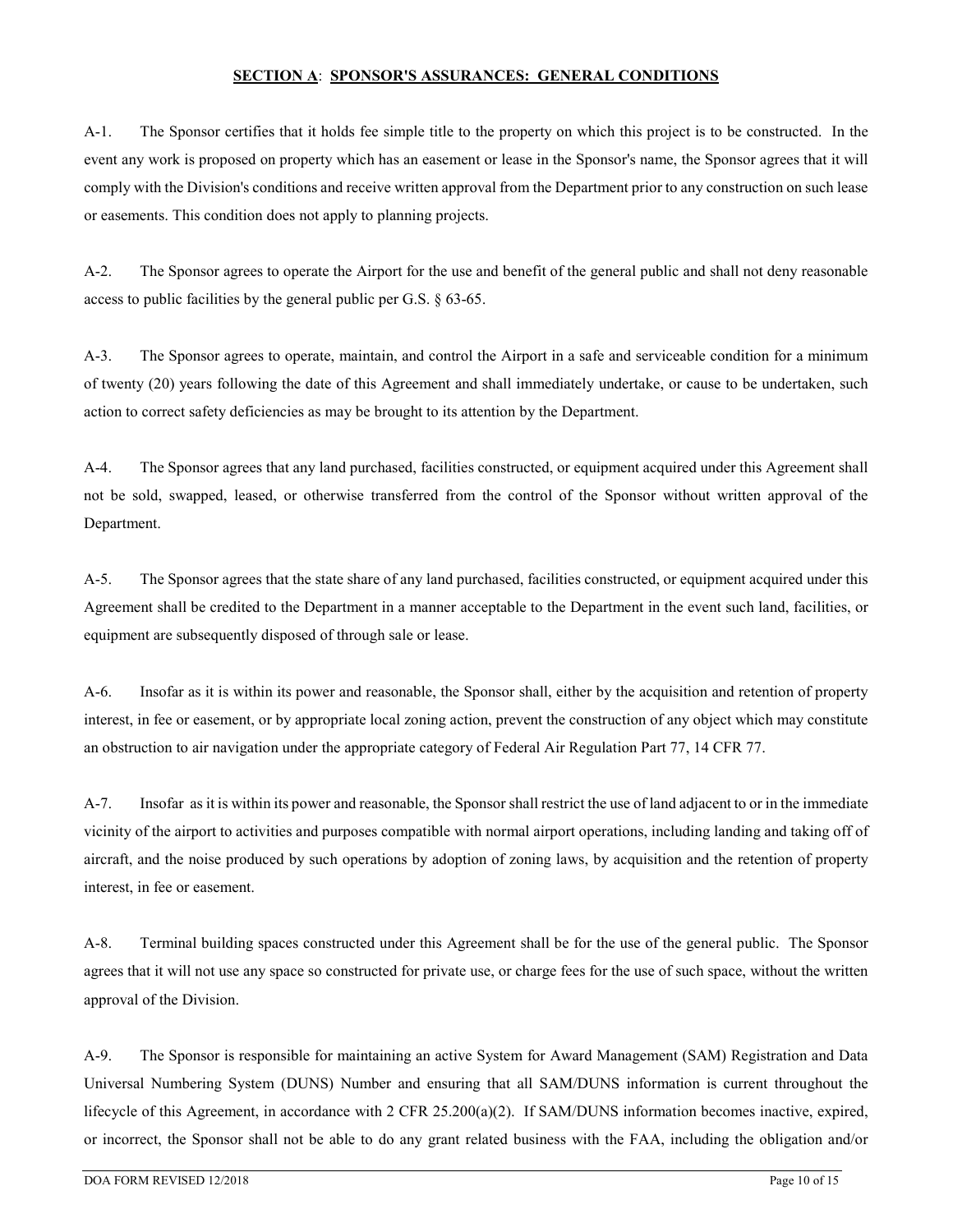#### **SECTION A**: **SPONSOR'S ASSURANCES: GENERAL CONDITIONS**

A-1. The Sponsor certifies that it holds fee simple title to the property on which this project is to be constructed. In the event any work is proposed on property which has an easement or lease in the Sponsor's name, the Sponsor agrees that it will comply with the Division's conditions and receive written approval from the Department prior to any construction on such lease or easements. This condition does not apply to planning projects.

A-2. The Sponsor agrees to operate the Airport for the use and benefit of the general public and shall not deny reasonable access to public facilities by the general public per G.S. § 63-65.

A-3. The Sponsor agrees to operate, maintain, and control the Airport in a safe and serviceable condition for a minimum of twenty (20) years following the date of this Agreement and shall immediately undertake, or cause to be undertaken, such action to correct safety deficiencies as may be brought to its attention by the Department.

A-4. The Sponsor agrees that any land purchased, facilities constructed, or equipment acquired under this Agreement shall not be sold, swapped, leased, or otherwise transferred from the control of the Sponsor without written approval of the Department.

A-5. The Sponsor agrees that the state share of any land purchased, facilities constructed, or equipment acquired under this Agreement shall be credited to the Department in a manner acceptable to the Department in the event such land, facilities, or equipment are subsequently disposed of through sale or lease.

A-6. Insofar as it is within its power and reasonable, the Sponsor shall, either by the acquisition and retention of property interest, in fee or easement, or by appropriate local zoning action, prevent the construction of any object which may constitute an obstruction to air navigation under the appropriate category of Federal Air Regulation Part 77, 14 CFR 77.

A-7. Insofar as it is within its power and reasonable, the Sponsor shall restrict the use of land adjacent to or in the immediate vicinity of the airport to activities and purposes compatible with normal airport operations, including landing and taking off of aircraft, and the noise produced by such operations by adoption of zoning laws, by acquisition and the retention of property interest, in fee or easement.

A-8. Terminal building spaces constructed under this Agreement shall be for the use of the general public. The Sponsor agrees that it will not use any space so constructed for private use, or charge fees for the use of such space, without the written approval of the Division.

A-9. The Sponsor is responsible for maintaining an active System for Award Management (SAM) Registration and Data Universal Numbering System (DUNS) Number and ensuring that all SAM/DUNS information is current throughout the lifecycle of this Agreement, in accordance with 2 CFR 25.200(a)(2). If SAM/DUNS information becomes inactive, expired, or incorrect, the Sponsor shall not be able to do any grant related business with the FAA, including the obligation and/or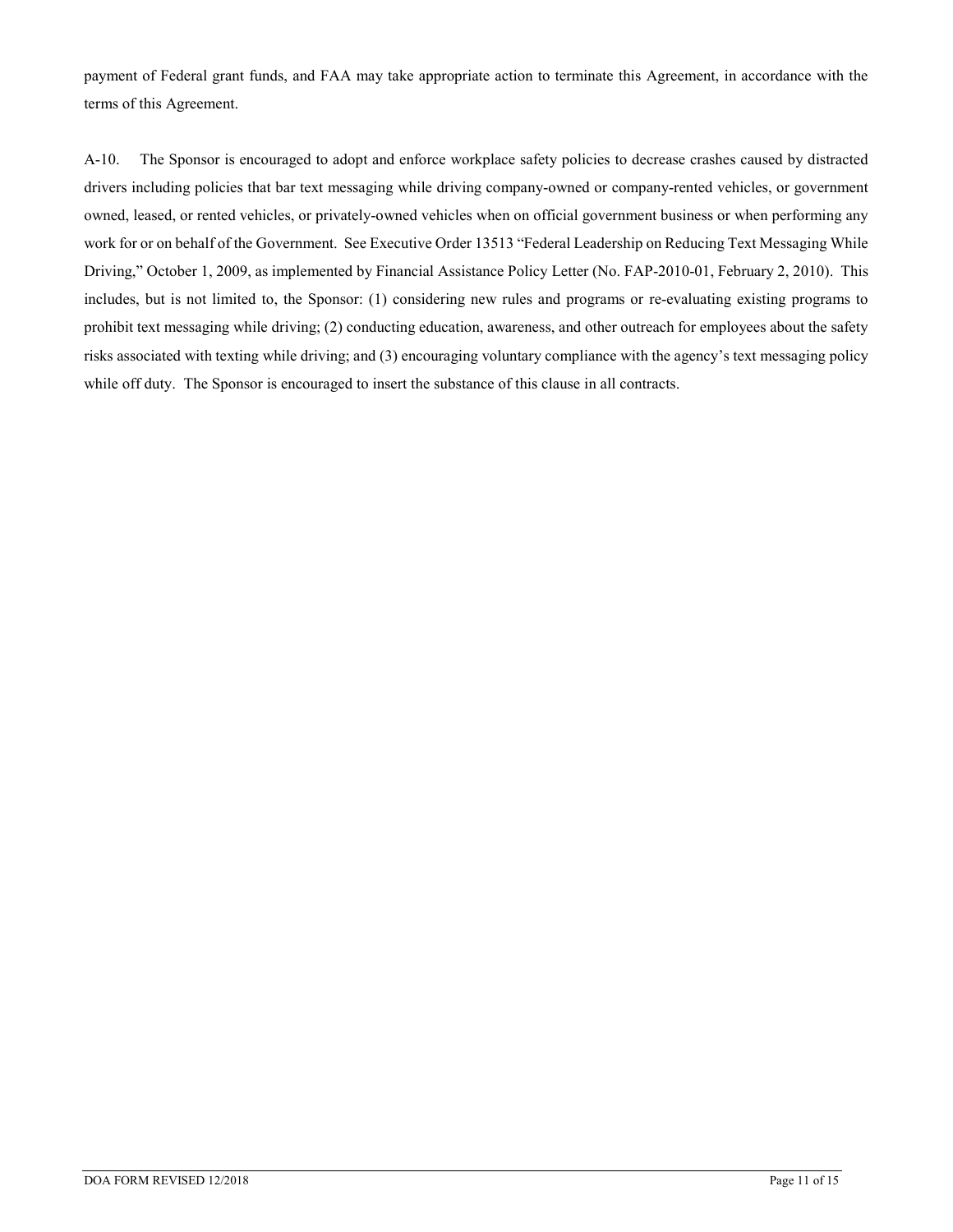payment of Federal grant funds, and FAA may take appropriate action to terminate this Agreement, in accordance with the terms of this Agreement.

A-10. The Sponsor is encouraged to adopt and enforce workplace safety policies to decrease crashes caused by distracted drivers including policies that bar text messaging while driving company-owned or company-rented vehicles, or government owned, leased, or rented vehicles, or privately-owned vehicles when on official government business or when performing any work for or on behalf of the Government. See Executive Order 13513 "Federal Leadership on Reducing Text Messaging While Driving," October 1, 2009, as implemented by Financial Assistance Policy Letter (No. FAP-2010-01, February 2, 2010). This includes, but is not limited to, the Sponsor: (1) considering new rules and programs or re-evaluating existing programs to prohibit text messaging while driving; (2) conducting education, awareness, and other outreach for employees about the safety risks associated with texting while driving; and (3) encouraging voluntary compliance with the agency's text messaging policy while off duty. The Sponsor is encouraged to insert the substance of this clause in all contracts.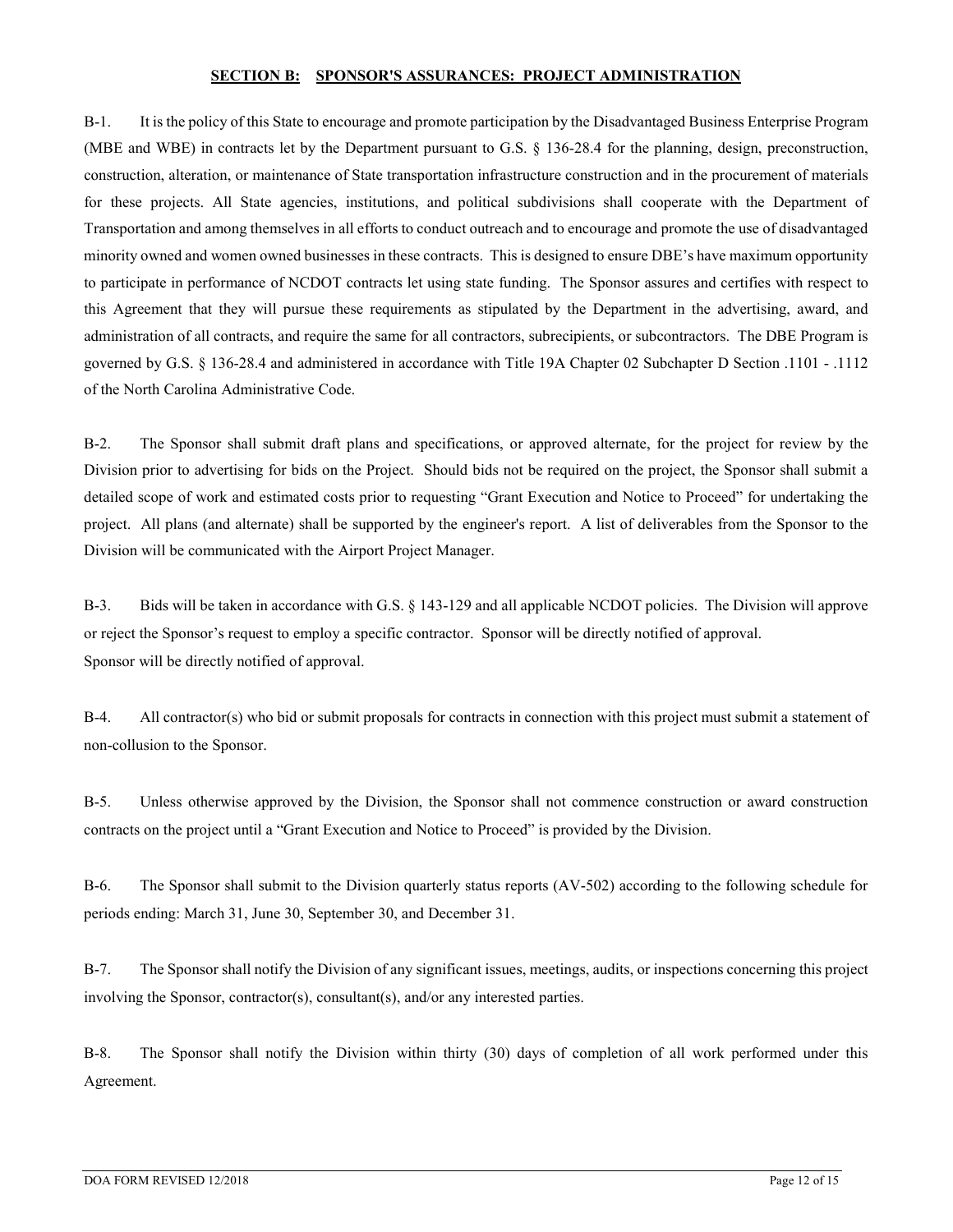#### **SECTION B: SPONSOR'S ASSURANCES: PROJECT ADMINISTRATION**

B-1. It is the policy of this State to encourage and promote participation by the Disadvantaged Business Enterprise Program (MBE and WBE) in contracts let by the Department pursuant to G.S. § 136-28.4 for the planning, design, preconstruction, construction, alteration, or maintenance of State transportation infrastructure construction and in the procurement of materials for these projects. All State agencies, institutions, and political subdivisions shall cooperate with the Department of Transportation and among themselves in all efforts to conduct outreach and to encourage and promote the use of disadvantaged minority owned and women owned businesses in these contracts. This is designed to ensure DBE's have maximum opportunity to participate in performance of NCDOT contracts let using state funding. The Sponsor assures and certifies with respect to this Agreement that they will pursue these requirements as stipulated by the Department in the advertising, award, and administration of all contracts, and require the same for all contractors, subrecipients, or subcontractors. The DBE Program is governed by G.S. § 136-28.4 and administered in accordance with Title 19A Chapter 02 Subchapter D Section .1101 - .1112 of the North Carolina Administrative Code.

B-2. The Sponsor shall submit draft plans and specifications, or approved alternate, for the project for review by the Division prior to advertising for bids on the Project. Should bids not be required on the project, the Sponsor shall submit a detailed scope of work and estimated costs prior to requesting "Grant Execution and Notice to Proceed" for undertaking the project. All plans (and alternate) shall be supported by the engineer's report. A list of deliverables from the Sponsor to the Division will be communicated with the Airport Project Manager.

B-3. Bids will be taken in accordance with G.S. § 143-129 and all applicable NCDOT policies. The Division will approve or reject the Sponsor's request to employ a specific contractor. Sponsor will be directly notified of approval. Sponsor will be directly notified of approval.

B-4. All contractor(s) who bid or submit proposals for contracts in connection with this project must submit a statement of non-collusion to the Sponsor.

B-5. Unless otherwise approved by the Division, the Sponsor shall not commence construction or award construction contracts on the project until a "Grant Execution and Notice to Proceed" is provided by the Division.

B-6. The Sponsor shall submit to the Division quarterly status reports (AV-502) according to the following schedule for periods ending: March 31, June 30, September 30, and December 31.

B-7. The Sponsor shall notify the Division of any significant issues, meetings, audits, or inspections concerning this project involving the Sponsor, contractor(s), consultant(s), and/or any interested parties.

B-8. The Sponsor shall notify the Division within thirty (30) days of completion of all work performed under this Agreement.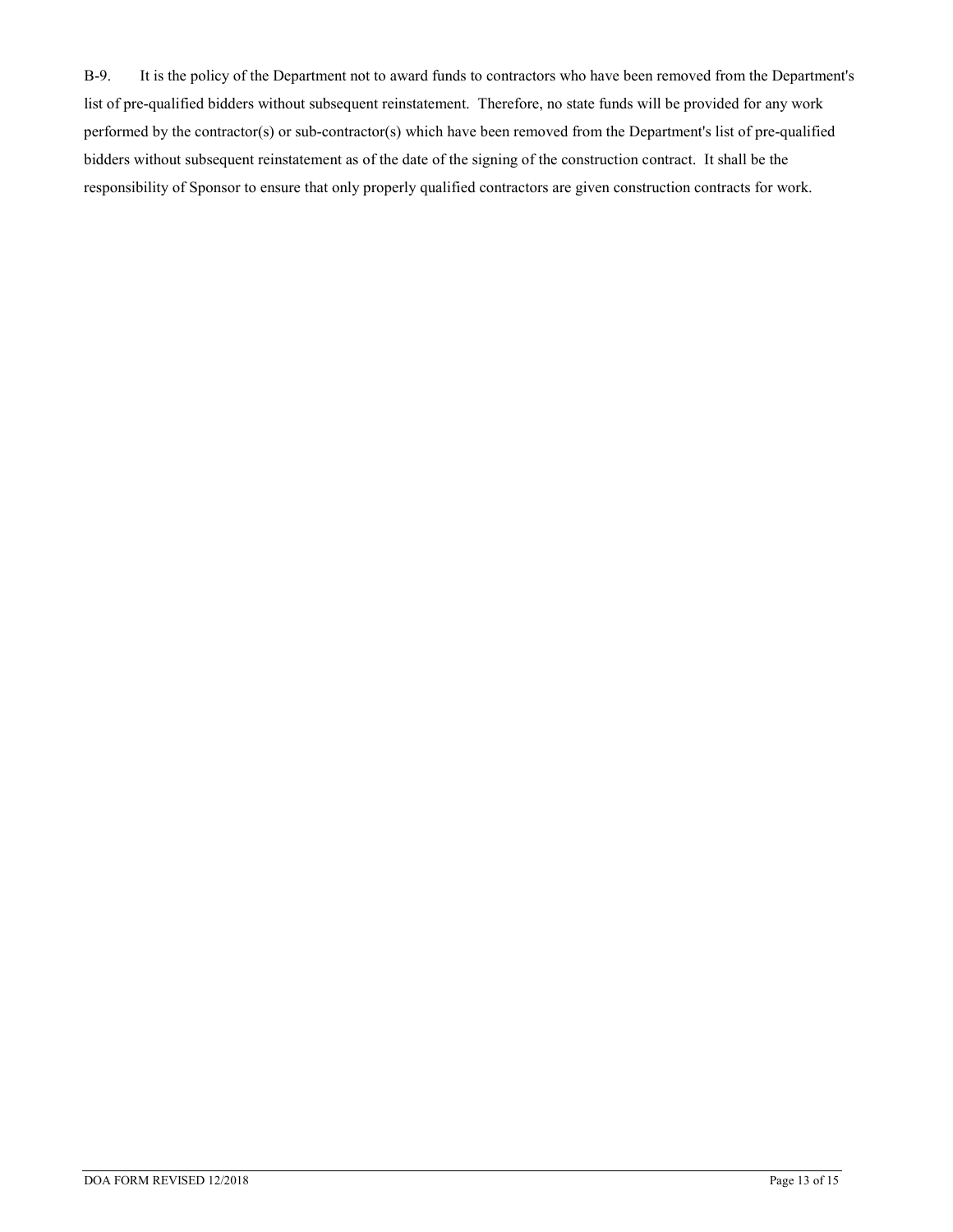B-9. It is the policy of the Department not to award funds to contractors who have been removed from the Department's list of pre-qualified bidders without subsequent reinstatement. Therefore, no state funds will be provided for any work performed by the contractor(s) or sub-contractor(s) which have been removed from the Department's list of pre-qualified bidders without subsequent reinstatement as of the date of the signing of the construction contract. It shall be the responsibility of Sponsor to ensure that only properly qualified contractors are given construction contracts for work.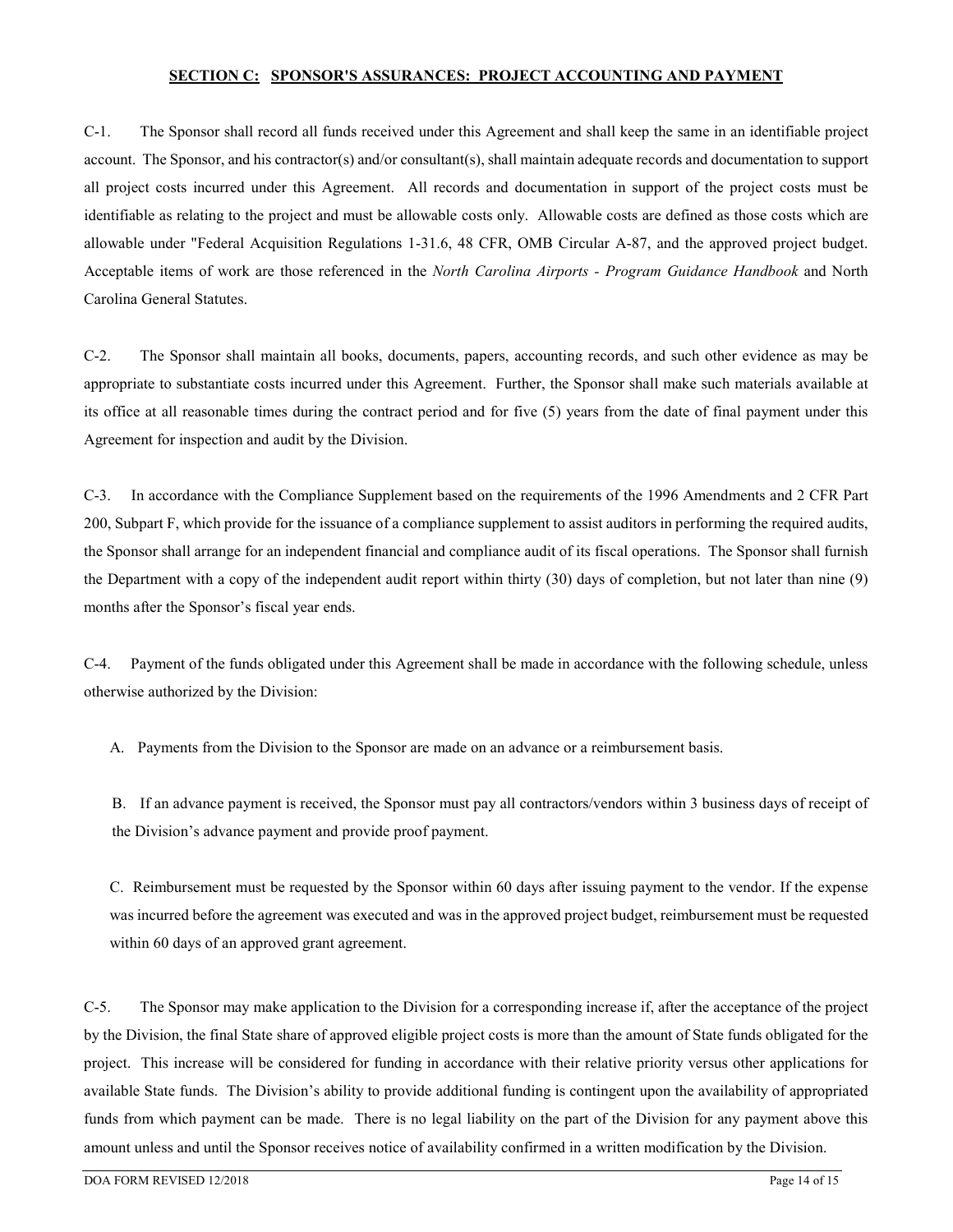#### **SECTION C: SPONSOR'S ASSURANCES: PROJECT ACCOUNTING AND PAYMENT**

C-1. The Sponsor shall record all funds received under this Agreement and shall keep the same in an identifiable project account. The Sponsor, and his contractor(s) and/or consultant(s), shall maintain adequate records and documentation to support all project costs incurred under this Agreement. All records and documentation in support of the project costs must be identifiable as relating to the project and must be allowable costs only. Allowable costs are defined as those costs which are allowable under "Federal Acquisition Regulations 1-31.6, 48 CFR, OMB Circular A-87, and the approved project budget. Acceptable items of work are those referenced in the *North Carolina Airports - Program Guidance Handbook* and North Carolina General Statutes.

C-2. The Sponsor shall maintain all books, documents, papers, accounting records, and such other evidence as may be appropriate to substantiate costs incurred under this Agreement. Further, the Sponsor shall make such materials available at its office at all reasonable times during the contract period and for five (5) years from the date of final payment under this Agreement for inspection and audit by the Division.

C-3. In accordance with the Compliance Supplement based on the requirements of the 1996 Amendments and 2 CFR Part 200, Subpart F, which provide for the issuance of a compliance supplement to assist auditors in performing the required audits, the Sponsor shall arrange for an independent financial and compliance audit of its fiscal operations. The Sponsor shall furnish the Department with a copy of the independent audit report within thirty (30) days of completion, but not later than nine (9) months after the Sponsor's fiscal year ends.

C-4. Payment of the funds obligated under this Agreement shall be made in accordance with the following schedule, unless otherwise authorized by the Division:

A. Payments from the Division to the Sponsor are made on an advance or a reimbursement basis.

B. If an advance payment is received, the Sponsor must pay all contractors/vendors within 3 business days of receipt of the Division's advance payment and provide proof payment.

C. Reimbursement must be requested by the Sponsor within 60 days after issuing payment to the vendor. If the expense was incurred before the agreement was executed and was in the approved project budget, reimbursement must be requested within 60 days of an approved grant agreement.

C-5. The Sponsor may make application to the Division for a corresponding increase if, after the acceptance of the project by the Division, the final State share of approved eligible project costs is more than the amount of State funds obligated for the project. This increase will be considered for funding in accordance with their relative priority versus other applications for available State funds. The Division's ability to provide additional funding is contingent upon the availability of appropriated funds from which payment can be made. There is no legal liability on the part of the Division for any payment above this amount unless and until the Sponsor receives notice of availability confirmed in a written modification by the Division.